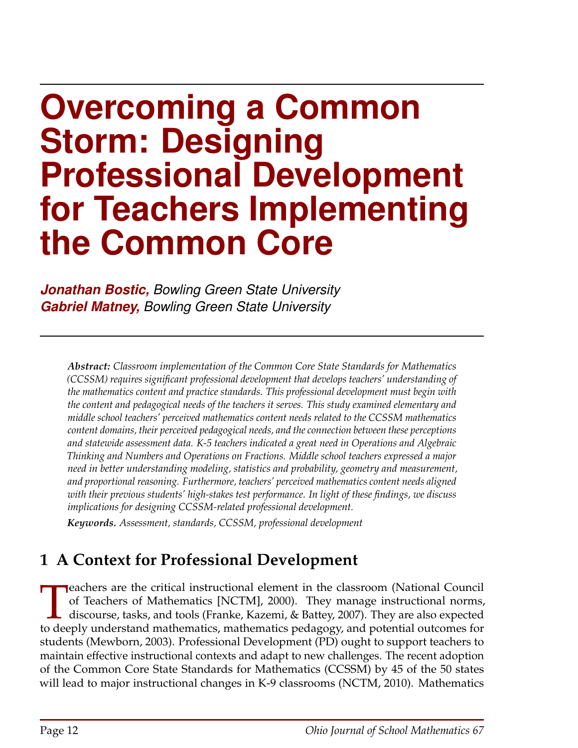# **Overcoming a Common Storm: Designing Professional Development for Teachers Implementing the Common Core**

*Jonathan Bostic, Bowling Green State University Gabriel Matney, Bowling Green State University*

*Abstract: Classroom implementation of the Common Core State Standards for Mathematics (CCSSM) requires significant professional development that develops teachers' understanding of the mathematics content and practice standards. This professional development must begin with the content and pedagogical needs of the teachers it serves. This study examined elementary and middle school teachers' perceived mathematics content needs related to the CCSSM mathematics content domains, their perceived pedagogical needs, and the connection between these perceptions and statewide assessment data. K-5 teachers indicated a great need in Operations and Algebraic Thinking and Numbers and Operations on Fractions. Middle school teachers expressed a major need in better understanding modeling, statistics and probability, geometry and measurement, and proportional reasoning. Furthermore, teachers' perceived mathematics content needs aligned with their previous students' high-stakes test performance. In light of these findings, we discuss implications for designing CCSSM-related professional development.*

*Keywords. Assessment, standards, CCSSM, professional development*

# **1 A Context for Professional Development**

Teachers are the critical instructional element in the classroom (National Council of Teachers of Mathematics [NCTM], 2000). They manage instructional norms, discourse, tasks, and tools (Franke, Kazemi, & Battey, 2007). Th eachers are the critical instructional element in the classroom (National Council of Teachers of Mathematics [NCTM], 2000). They manage instructional norms, discourse, tasks, and tools (Franke, Kazemi, & Battey, 2007). They are also expected students (Mewborn, 2003). Professional Development (PD) ought to support teachers to maintain effective instructional contexts and adapt to new challenges. The recent adoption of the Common Core State Standards for Mathematics (CCSSM) by 45 of the 50 states will lead to major instructional changes in K-9 classrooms (NCTM, 2010). Mathematics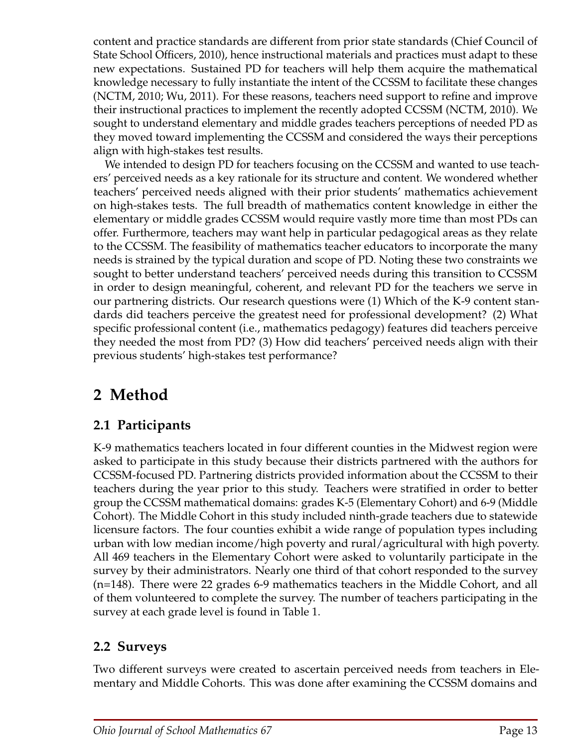content and practice standards are different from prior state standards (Chief Council of State School Officers, 2010), hence instructional materials and practices must adapt to these new expectations. Sustained PD for teachers will help them acquire the mathematical knowledge necessary to fully instantiate the intent of the CCSSM to facilitate these changes (NCTM, 2010; Wu, 2011). For these reasons, teachers need support to refine and improve their instructional practices to implement the recently adopted CCSSM (NCTM, 2010). We sought to understand elementary and middle grades teachers perceptions of needed PD as they moved toward implementing the CCSSM and considered the ways their perceptions align with high-stakes test results.

We intended to design PD for teachers focusing on the CCSSM and wanted to use teachers' perceived needs as a key rationale for its structure and content. We wondered whether teachers' perceived needs aligned with their prior students' mathematics achievement on high-stakes tests. The full breadth of mathematics content knowledge in either the elementary or middle grades CCSSM would require vastly more time than most PDs can offer. Furthermore, teachers may want help in particular pedagogical areas as they relate to the CCSSM. The feasibility of mathematics teacher educators to incorporate the many needs is strained by the typical duration and scope of PD. Noting these two constraints we sought to better understand teachers' perceived needs during this transition to CCSSM in order to design meaningful, coherent, and relevant PD for the teachers we serve in our partnering districts. Our research questions were (1) Which of the K-9 content standards did teachers perceive the greatest need for professional development? (2) What specific professional content (i.e., mathematics pedagogy) features did teachers perceive they needed the most from PD? (3) How did teachers' perceived needs align with their previous students' high-stakes test performance?

# **2 Method**

## **2.1 Participants**

K-9 mathematics teachers located in four different counties in the Midwest region were asked to participate in this study because their districts partnered with the authors for CCSSM-focused PD. Partnering districts provided information about the CCSSM to their teachers during the year prior to this study. Teachers were stratified in order to better group the CCSSM mathematical domains: grades K-5 (Elementary Cohort) and 6-9 (Middle Cohort). The Middle Cohort in this study included ninth-grade teachers due to statewide licensure factors. The four counties exhibit a wide range of population types including urban with low median income/high poverty and rural/agricultural with high poverty. All 469 teachers in the Elementary Cohort were asked to voluntarily participate in the survey by their administrators. Nearly one third of that cohort responded to the survey (n=148). There were 22 grades 6-9 mathematics teachers in the Middle Cohort, and all of them volunteered to complete the survey. The number of teachers participating in the survey at each grade level is found in Table 1.

### **2.2 Surveys**

Two different surveys were created to ascertain perceived needs from teachers in Elementary and Middle Cohorts. This was done after examining the CCSSM domains and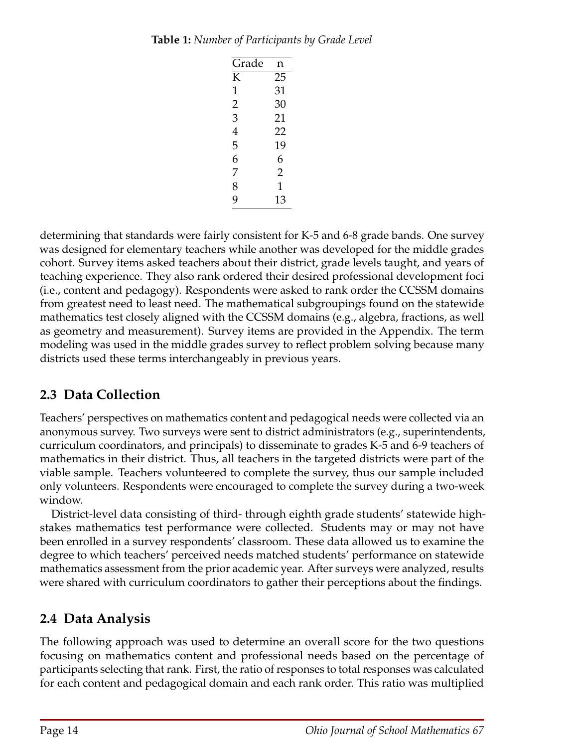| Grade | n              |
|-------|----------------|
| K     | 25             |
| 1     | 31             |
| 2     | 30             |
| 3     | 21             |
| 4     | 22             |
| 5     | 19             |
| 6     | 6              |
| 7     | $\overline{2}$ |
| 8     | 1              |
| 9     | 13             |

determining that standards were fairly consistent for K-5 and 6-8 grade bands. One survey was designed for elementary teachers while another was developed for the middle grades cohort. Survey items asked teachers about their district, grade levels taught, and years of teaching experience. They also rank ordered their desired professional development foci (i.e., content and pedagogy). Respondents were asked to rank order the CCSSM domains from greatest need to least need. The mathematical subgroupings found on the statewide mathematics test closely aligned with the CCSSM domains (e.g., algebra, fractions, as well as geometry and measurement). Survey items are provided in the Appendix. The term modeling was used in the middle grades survey to reflect problem solving because many districts used these terms interchangeably in previous years.

## **2.3 Data Collection**

Teachers' perspectives on mathematics content and pedagogical needs were collected via an anonymous survey. Two surveys were sent to district administrators (e.g., superintendents, curriculum coordinators, and principals) to disseminate to grades K-5 and 6-9 teachers of mathematics in their district. Thus, all teachers in the targeted districts were part of the viable sample. Teachers volunteered to complete the survey, thus our sample included only volunteers. Respondents were encouraged to complete the survey during a two-week window.

District-level data consisting of third- through eighth grade students' statewide highstakes mathematics test performance were collected. Students may or may not have been enrolled in a survey respondents' classroom. These data allowed us to examine the degree to which teachers' perceived needs matched students' performance on statewide mathematics assessment from the prior academic year. After surveys were analyzed, results were shared with curriculum coordinators to gather their perceptions about the findings.

## **2.4 Data Analysis**

The following approach was used to determine an overall score for the two questions focusing on mathematics content and professional needs based on the percentage of participants selecting that rank. First, the ratio of responses to total responses was calculated for each content and pedagogical domain and each rank order. This ratio was multiplied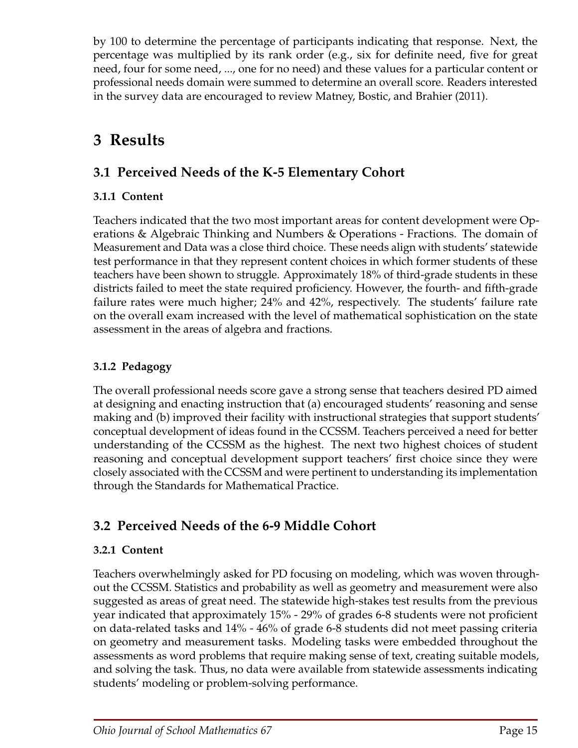by 100 to determine the percentage of participants indicating that response. Next, the percentage was multiplied by its rank order (e.g., six for definite need, five for great need, four for some need, ..., one for no need) and these values for a particular content or professional needs domain were summed to determine an overall score. Readers interested in the survey data are encouraged to review Matney, Bostic, and Brahier (2011).

# **3 Results**

## **3.1 Perceived Needs of the K-5 Elementary Cohort**

#### **3.1.1 Content**

Teachers indicated that the two most important areas for content development were Operations & Algebraic Thinking and Numbers & Operations - Fractions. The domain of Measurement and Data was a close third choice. These needs align with students' statewide test performance in that they represent content choices in which former students of these teachers have been shown to struggle. Approximately 18% of third-grade students in these districts failed to meet the state required proficiency. However, the fourth- and fifth-grade failure rates were much higher; 24% and 42%, respectively. The students' failure rate on the overall exam increased with the level of mathematical sophistication on the state assessment in the areas of algebra and fractions.

#### **3.1.2 Pedagogy**

The overall professional needs score gave a strong sense that teachers desired PD aimed at designing and enacting instruction that (a) encouraged students' reasoning and sense making and (b) improved their facility with instructional strategies that support students' conceptual development of ideas found in the CCSSM. Teachers perceived a need for better understanding of the CCSSM as the highest. The next two highest choices of student reasoning and conceptual development support teachers' first choice since they were closely associated with the CCSSM and were pertinent to understanding its implementation through the Standards for Mathematical Practice.

## **3.2 Perceived Needs of the 6-9 Middle Cohort**

#### **3.2.1 Content**

Teachers overwhelmingly asked for PD focusing on modeling, which was woven throughout the CCSSM. Statistics and probability as well as geometry and measurement were also suggested as areas of great need. The statewide high-stakes test results from the previous year indicated that approximately 15% - 29% of grades 6-8 students were not proficient on data-related tasks and 14% - 46% of grade 6-8 students did not meet passing criteria on geometry and measurement tasks. Modeling tasks were embedded throughout the assessments as word problems that require making sense of text, creating suitable models, and solving the task. Thus, no data were available from statewide assessments indicating students' modeling or problem-solving performance.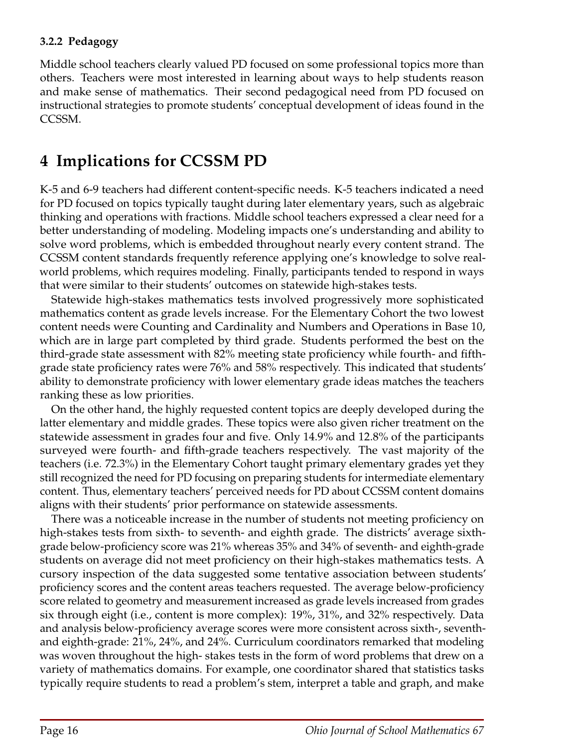#### **3.2.2 Pedagogy**

Middle school teachers clearly valued PD focused on some professional topics more than others. Teachers were most interested in learning about ways to help students reason and make sense of mathematics. Their second pedagogical need from PD focused on instructional strategies to promote students' conceptual development of ideas found in the CCSSM.

# **4 Implications for CCSSM PD**

K-5 and 6-9 teachers had different content-specific needs. K-5 teachers indicated a need for PD focused on topics typically taught during later elementary years, such as algebraic thinking and operations with fractions. Middle school teachers expressed a clear need for a better understanding of modeling. Modeling impacts one's understanding and ability to solve word problems, which is embedded throughout nearly every content strand. The CCSSM content standards frequently reference applying one's knowledge to solve realworld problems, which requires modeling. Finally, participants tended to respond in ways that were similar to their students' outcomes on statewide high-stakes tests.

Statewide high-stakes mathematics tests involved progressively more sophisticated mathematics content as grade levels increase. For the Elementary Cohort the two lowest content needs were Counting and Cardinality and Numbers and Operations in Base 10, which are in large part completed by third grade. Students performed the best on the third-grade state assessment with 82% meeting state proficiency while fourth- and fifthgrade state proficiency rates were 76% and 58% respectively. This indicated that students' ability to demonstrate proficiency with lower elementary grade ideas matches the teachers ranking these as low priorities.

On the other hand, the highly requested content topics are deeply developed during the latter elementary and middle grades. These topics were also given richer treatment on the statewide assessment in grades four and five. Only 14.9% and 12.8% of the participants surveyed were fourth- and fifth-grade teachers respectively. The vast majority of the teachers (i.e. 72.3%) in the Elementary Cohort taught primary elementary grades yet they still recognized the need for PD focusing on preparing students for intermediate elementary content. Thus, elementary teachers' perceived needs for PD about CCSSM content domains aligns with their students' prior performance on statewide assessments.

There was a noticeable increase in the number of students not meeting proficiency on high-stakes tests from sixth- to seventh- and eighth grade. The districts' average sixthgrade below-proficiency score was 21% whereas 35% and 34% of seventh- and eighth-grade students on average did not meet proficiency on their high-stakes mathematics tests. A cursory inspection of the data suggested some tentative association between students' proficiency scores and the content areas teachers requested. The average below-proficiency score related to geometry and measurement increased as grade levels increased from grades six through eight (i.e., content is more complex): 19%, 31%, and 32% respectively. Data and analysis below-proficiency average scores were more consistent across sixth-, seventhand eighth-grade: 21%, 24%, and 24%. Curriculum coordinators remarked that modeling was woven throughout the high- stakes tests in the form of word problems that drew on a variety of mathematics domains. For example, one coordinator shared that statistics tasks typically require students to read a problem's stem, interpret a table and graph, and make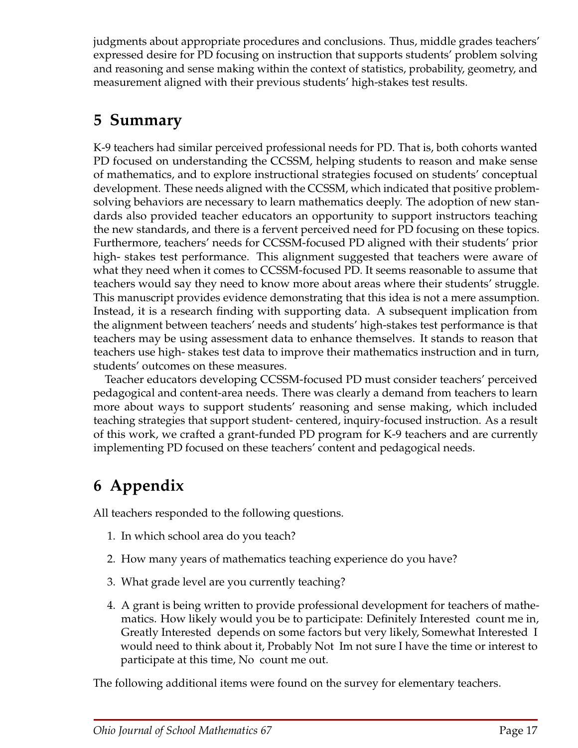judgments about appropriate procedures and conclusions. Thus, middle grades teachers' expressed desire for PD focusing on instruction that supports students' problem solving and reasoning and sense making within the context of statistics, probability, geometry, and measurement aligned with their previous students' high-stakes test results.

# **5 Summary**

K-9 teachers had similar perceived professional needs for PD. That is, both cohorts wanted PD focused on understanding the CCSSM, helping students to reason and make sense of mathematics, and to explore instructional strategies focused on students' conceptual development. These needs aligned with the CCSSM, which indicated that positive problemsolving behaviors are necessary to learn mathematics deeply. The adoption of new standards also provided teacher educators an opportunity to support instructors teaching the new standards, and there is a fervent perceived need for PD focusing on these topics. Furthermore, teachers' needs for CCSSM-focused PD aligned with their students' prior high- stakes test performance. This alignment suggested that teachers were aware of what they need when it comes to CCSSM-focused PD. It seems reasonable to assume that teachers would say they need to know more about areas where their students' struggle. This manuscript provides evidence demonstrating that this idea is not a mere assumption. Instead, it is a research finding with supporting data. A subsequent implication from the alignment between teachers' needs and students' high-stakes test performance is that teachers may be using assessment data to enhance themselves. It stands to reason that teachers use high- stakes test data to improve their mathematics instruction and in turn, students' outcomes on these measures.

Teacher educators developing CCSSM-focused PD must consider teachers' perceived pedagogical and content-area needs. There was clearly a demand from teachers to learn more about ways to support students' reasoning and sense making, which included teaching strategies that support student- centered, inquiry-focused instruction. As a result of this work, we crafted a grant-funded PD program for K-9 teachers and are currently implementing PD focused on these teachers' content and pedagogical needs.

# **6 Appendix**

All teachers responded to the following questions.

- 1. In which school area do you teach?
- 2. How many years of mathematics teaching experience do you have?
- 3. What grade level are you currently teaching?
- 4. A grant is being written to provide professional development for teachers of mathematics. How likely would you be to participate: Definitely Interested count me in, Greatly Interested depends on some factors but very likely, Somewhat Interested I would need to think about it, Probably Not Im not sure I have the time or interest to participate at this time, No count me out.

The following additional items were found on the survey for elementary teachers.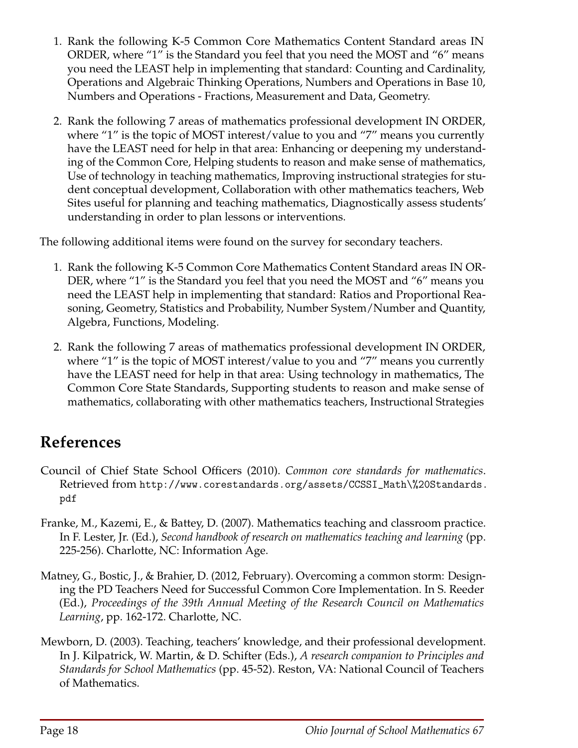- 1. Rank the following K-5 Common Core Mathematics Content Standard areas IN ORDER, where "1" is the Standard you feel that you need the MOST and "6" means you need the LEAST help in implementing that standard: Counting and Cardinality, Operations and Algebraic Thinking Operations, Numbers and Operations in Base 10, Numbers and Operations - Fractions, Measurement and Data, Geometry.
- 2. Rank the following 7 areas of mathematics professional development IN ORDER, where "1" is the topic of MOST interest/value to you and "7" means you currently have the LEAST need for help in that area: Enhancing or deepening my understanding of the Common Core, Helping students to reason and make sense of mathematics, Use of technology in teaching mathematics, Improving instructional strategies for student conceptual development, Collaboration with other mathematics teachers, Web Sites useful for planning and teaching mathematics, Diagnostically assess students' understanding in order to plan lessons or interventions.

The following additional items were found on the survey for secondary teachers.

- 1. Rank the following K-5 Common Core Mathematics Content Standard areas IN OR-DER, where "1" is the Standard you feel that you need the MOST and "6" means you need the LEAST help in implementing that standard: Ratios and Proportional Reasoning, Geometry, Statistics and Probability, Number System/Number and Quantity, Algebra, Functions, Modeling.
- 2. Rank the following 7 areas of mathematics professional development IN ORDER, where "1" is the topic of MOST interest/value to you and "7" means you currently have the LEAST need for help in that area: Using technology in mathematics, The Common Core State Standards, Supporting students to reason and make sense of mathematics, collaborating with other mathematics teachers, Instructional Strategies

# **References**

- Council of Chief State School Officers (2010). *Common core standards for mathematics*. Retrieved from http://www.corestandards.org/assets/CCSSI\_Math\%20Standards. pdf
- Franke, M., Kazemi, E., & Battey, D. (2007). Mathematics teaching and classroom practice. In F. Lester, Jr. (Ed.), *Second handbook of research on mathematics teaching and learning* (pp. 225-256). Charlotte, NC: Information Age.
- Matney, G., Bostic, J., & Brahier, D. (2012, February). Overcoming a common storm: Designing the PD Teachers Need for Successful Common Core Implementation. In S. Reeder (Ed.), *Proceedings of the 39th Annual Meeting of the Research Council on Mathematics Learning*, pp. 162-172. Charlotte, NC.
- Mewborn, D. (2003). Teaching, teachers' knowledge, and their professional development. In J. Kilpatrick, W. Martin, & D. Schifter (Eds.), *A research companion to Principles and Standards for School Mathematics* (pp. 45-52). Reston, VA: National Council of Teachers of Mathematics.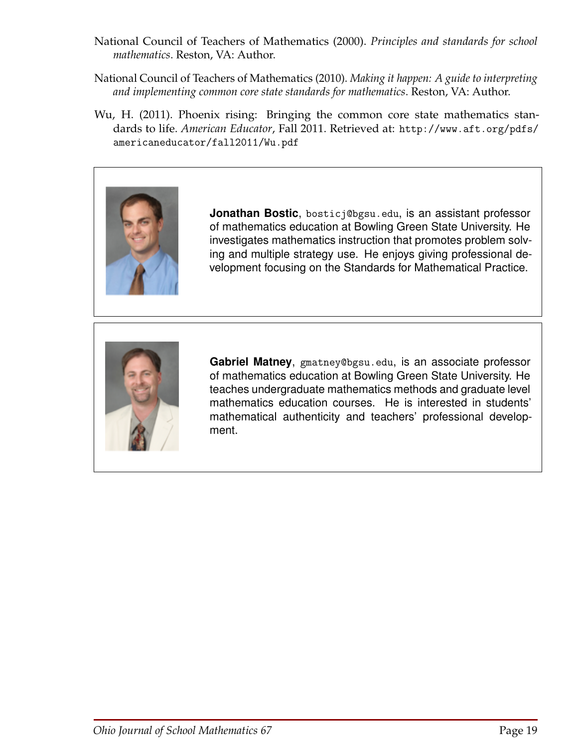- National Council of Teachers of Mathematics (2000). *Principles and standards for school mathematics*. Reston, VA: Author.
- National Council of Teachers of Mathematics (2010). *Making it happen: A guide to interpreting and implementing common core state standards for mathematics*. Reston, VA: Author.
- Wu, H. (2011). Phoenix rising: Bringing the common core state mathematics standards to life. *American Educator*, Fall 2011. Retrieved at: http://www.aft.org/pdfs/ americaneducator/fall2011/Wu.pdf



**Jonathan Bostic**, bosticj@bgsu.edu, is an assistant professor of mathematics education at Bowling Green State University. He investigates mathematics instruction that promotes problem solving and multiple strategy use. He enjoys giving professional development focusing on the Standards for Mathematical Practice.



**Gabriel Matney**, gmatney@bgsu.edu, is an associate professor of mathematics education at Bowling Green State University. He teaches undergraduate mathematics methods and graduate level mathematics education courses. He is interested in students' mathematical authenticity and teachers' professional development.